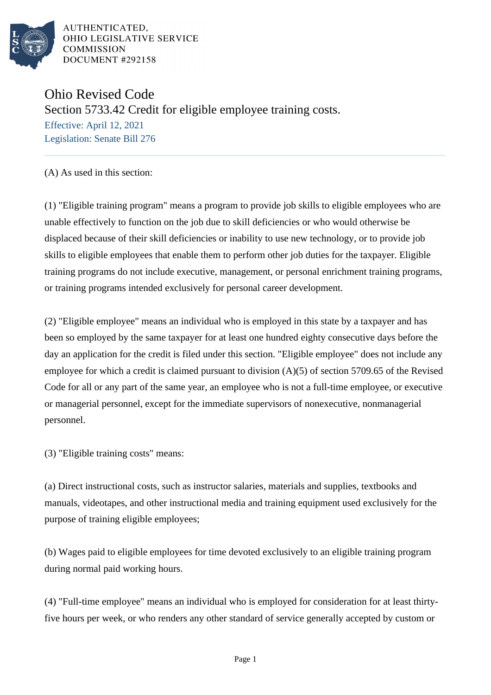

Ohio Revised Code Section 5733.42 Credit for eligible employee training costs. Effective: April 12, 2021 Legislation: Senate Bill 276

(A) As used in this section:

(1) "Eligible training program" means a program to provide job skills to eligible employees who are unable effectively to function on the job due to skill deficiencies or who would otherwise be displaced because of their skill deficiencies or inability to use new technology, or to provide job skills to eligible employees that enable them to perform other job duties for the taxpayer. Eligible training programs do not include executive, management, or personal enrichment training programs, or training programs intended exclusively for personal career development.

(2) "Eligible employee" means an individual who is employed in this state by a taxpayer and has been so employed by the same taxpayer for at least one hundred eighty consecutive days before the day an application for the credit is filed under this section. "Eligible employee" does not include any employee for which a credit is claimed pursuant to division (A)(5) of section 5709.65 of the Revised Code for all or any part of the same year, an employee who is not a full-time employee, or executive or managerial personnel, except for the immediate supervisors of nonexecutive, nonmanagerial personnel.

(3) "Eligible training costs" means:

(a) Direct instructional costs, such as instructor salaries, materials and supplies, textbooks and manuals, videotapes, and other instructional media and training equipment used exclusively for the purpose of training eligible employees;

(b) Wages paid to eligible employees for time devoted exclusively to an eligible training program during normal paid working hours.

(4) "Full-time employee" means an individual who is employed for consideration for at least thirtyfive hours per week, or who renders any other standard of service generally accepted by custom or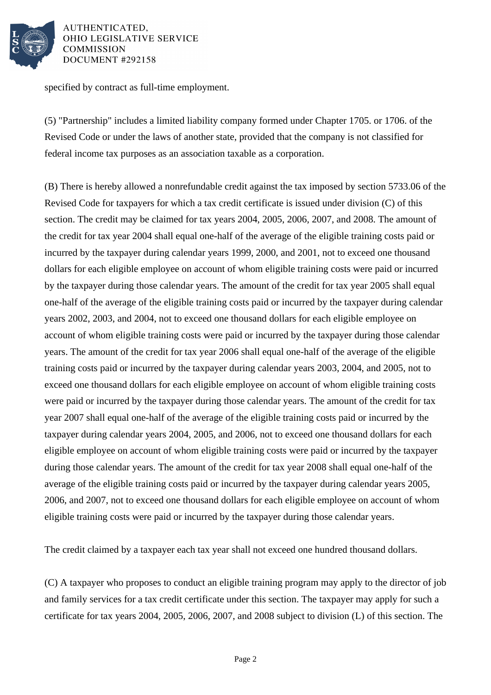

specified by contract as full-time employment.

(5) "Partnership" includes a limited liability company formed under Chapter 1705. or 1706. of the Revised Code or under the laws of another state, provided that the company is not classified for federal income tax purposes as an association taxable as a corporation.

(B) There is hereby allowed a nonrefundable credit against the tax imposed by section 5733.06 of the Revised Code for taxpayers for which a tax credit certificate is issued under division (C) of this section. The credit may be claimed for tax years 2004, 2005, 2006, 2007, and 2008. The amount of the credit for tax year 2004 shall equal one-half of the average of the eligible training costs paid or incurred by the taxpayer during calendar years 1999, 2000, and 2001, not to exceed one thousand dollars for each eligible employee on account of whom eligible training costs were paid or incurred by the taxpayer during those calendar years. The amount of the credit for tax year 2005 shall equal one-half of the average of the eligible training costs paid or incurred by the taxpayer during calendar years 2002, 2003, and 2004, not to exceed one thousand dollars for each eligible employee on account of whom eligible training costs were paid or incurred by the taxpayer during those calendar years. The amount of the credit for tax year 2006 shall equal one-half of the average of the eligible training costs paid or incurred by the taxpayer during calendar years 2003, 2004, and 2005, not to exceed one thousand dollars for each eligible employee on account of whom eligible training costs were paid or incurred by the taxpayer during those calendar years. The amount of the credit for tax year 2007 shall equal one-half of the average of the eligible training costs paid or incurred by the taxpayer during calendar years 2004, 2005, and 2006, not to exceed one thousand dollars for each eligible employee on account of whom eligible training costs were paid or incurred by the taxpayer during those calendar years. The amount of the credit for tax year 2008 shall equal one-half of the average of the eligible training costs paid or incurred by the taxpayer during calendar years 2005, 2006, and 2007, not to exceed one thousand dollars for each eligible employee on account of whom eligible training costs were paid or incurred by the taxpayer during those calendar years.

The credit claimed by a taxpayer each tax year shall not exceed one hundred thousand dollars.

(C) A taxpayer who proposes to conduct an eligible training program may apply to the director of job and family services for a tax credit certificate under this section. The taxpayer may apply for such a certificate for tax years 2004, 2005, 2006, 2007, and 2008 subject to division (L) of this section. The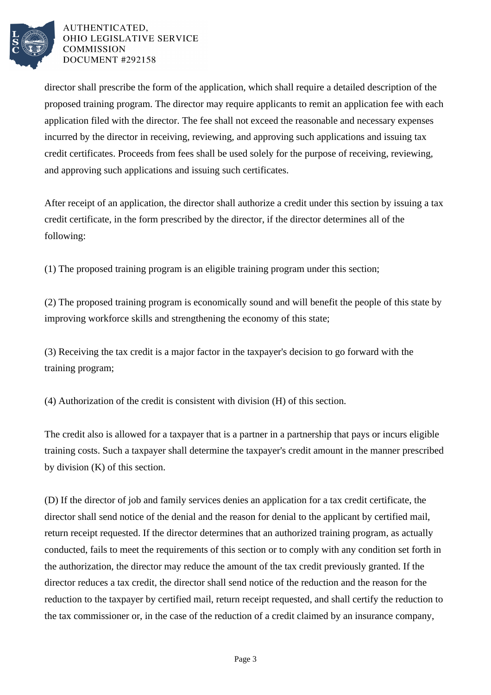

director shall prescribe the form of the application, which shall require a detailed description of the proposed training program. The director may require applicants to remit an application fee with each application filed with the director. The fee shall not exceed the reasonable and necessary expenses incurred by the director in receiving, reviewing, and approving such applications and issuing tax credit certificates. Proceeds from fees shall be used solely for the purpose of receiving, reviewing, and approving such applications and issuing such certificates.

After receipt of an application, the director shall authorize a credit under this section by issuing a tax credit certificate, in the form prescribed by the director, if the director determines all of the following:

(1) The proposed training program is an eligible training program under this section;

(2) The proposed training program is economically sound and will benefit the people of this state by improving workforce skills and strengthening the economy of this state;

(3) Receiving the tax credit is a major factor in the taxpayer's decision to go forward with the training program;

(4) Authorization of the credit is consistent with division (H) of this section.

The credit also is allowed for a taxpayer that is a partner in a partnership that pays or incurs eligible training costs. Such a taxpayer shall determine the taxpayer's credit amount in the manner prescribed by division (K) of this section.

(D) If the director of job and family services denies an application for a tax credit certificate, the director shall send notice of the denial and the reason for denial to the applicant by certified mail, return receipt requested. If the director determines that an authorized training program, as actually conducted, fails to meet the requirements of this section or to comply with any condition set forth in the authorization, the director may reduce the amount of the tax credit previously granted. If the director reduces a tax credit, the director shall send notice of the reduction and the reason for the reduction to the taxpayer by certified mail, return receipt requested, and shall certify the reduction to the tax commissioner or, in the case of the reduction of a credit claimed by an insurance company,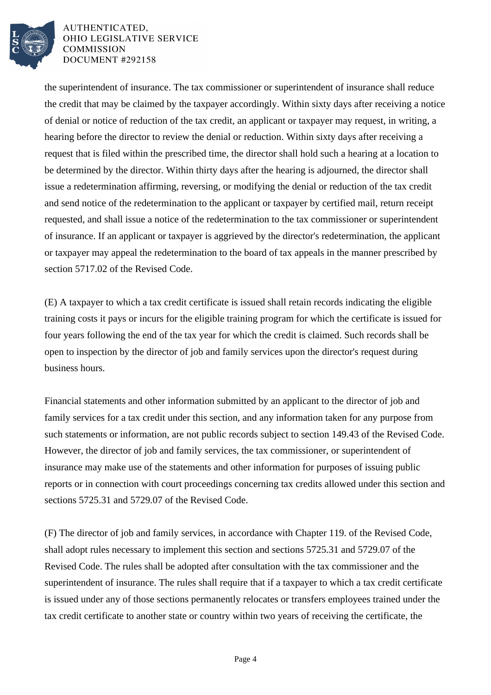

the superintendent of insurance. The tax commissioner or superintendent of insurance shall reduce the credit that may be claimed by the taxpayer accordingly. Within sixty days after receiving a notice of denial or notice of reduction of the tax credit, an applicant or taxpayer may request, in writing, a hearing before the director to review the denial or reduction. Within sixty days after receiving a request that is filed within the prescribed time, the director shall hold such a hearing at a location to be determined by the director. Within thirty days after the hearing is adjourned, the director shall issue a redetermination affirming, reversing, or modifying the denial or reduction of the tax credit and send notice of the redetermination to the applicant or taxpayer by certified mail, return receipt requested, and shall issue a notice of the redetermination to the tax commissioner or superintendent of insurance. If an applicant or taxpayer is aggrieved by the director's redetermination, the applicant or taxpayer may appeal the redetermination to the board of tax appeals in the manner prescribed by section 5717.02 of the Revised Code.

(E) A taxpayer to which a tax credit certificate is issued shall retain records indicating the eligible training costs it pays or incurs for the eligible training program for which the certificate is issued for four years following the end of the tax year for which the credit is claimed. Such records shall be open to inspection by the director of job and family services upon the director's request during business hours.

Financial statements and other information submitted by an applicant to the director of job and family services for a tax credit under this section, and any information taken for any purpose from such statements or information, are not public records subject to section 149.43 of the Revised Code. However, the director of job and family services, the tax commissioner, or superintendent of insurance may make use of the statements and other information for purposes of issuing public reports or in connection with court proceedings concerning tax credits allowed under this section and sections 5725.31 and 5729.07 of the Revised Code.

(F) The director of job and family services, in accordance with Chapter 119. of the Revised Code, shall adopt rules necessary to implement this section and sections 5725.31 and 5729.07 of the Revised Code. The rules shall be adopted after consultation with the tax commissioner and the superintendent of insurance. The rules shall require that if a taxpayer to which a tax credit certificate is issued under any of those sections permanently relocates or transfers employees trained under the tax credit certificate to another state or country within two years of receiving the certificate, the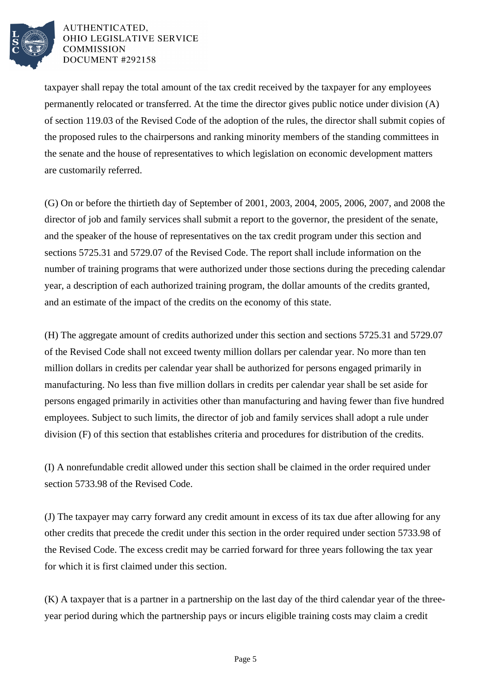

taxpayer shall repay the total amount of the tax credit received by the taxpayer for any employees permanently relocated or transferred. At the time the director gives public notice under division (A) of section 119.03 of the Revised Code of the adoption of the rules, the director shall submit copies of the proposed rules to the chairpersons and ranking minority members of the standing committees in the senate and the house of representatives to which legislation on economic development matters are customarily referred.

(G) On or before the thirtieth day of September of 2001, 2003, 2004, 2005, 2006, 2007, and 2008 the director of job and family services shall submit a report to the governor, the president of the senate, and the speaker of the house of representatives on the tax credit program under this section and sections 5725.31 and 5729.07 of the Revised Code. The report shall include information on the number of training programs that were authorized under those sections during the preceding calendar year, a description of each authorized training program, the dollar amounts of the credits granted, and an estimate of the impact of the credits on the economy of this state.

(H) The aggregate amount of credits authorized under this section and sections 5725.31 and 5729.07 of the Revised Code shall not exceed twenty million dollars per calendar year. No more than ten million dollars in credits per calendar year shall be authorized for persons engaged primarily in manufacturing. No less than five million dollars in credits per calendar year shall be set aside for persons engaged primarily in activities other than manufacturing and having fewer than five hundred employees. Subject to such limits, the director of job and family services shall adopt a rule under division (F) of this section that establishes criteria and procedures for distribution of the credits.

(I) A nonrefundable credit allowed under this section shall be claimed in the order required under section 5733.98 of the Revised Code.

(J) The taxpayer may carry forward any credit amount in excess of its tax due after allowing for any other credits that precede the credit under this section in the order required under section 5733.98 of the Revised Code. The excess credit may be carried forward for three years following the tax year for which it is first claimed under this section.

(K) A taxpayer that is a partner in a partnership on the last day of the third calendar year of the threeyear period during which the partnership pays or incurs eligible training costs may claim a credit